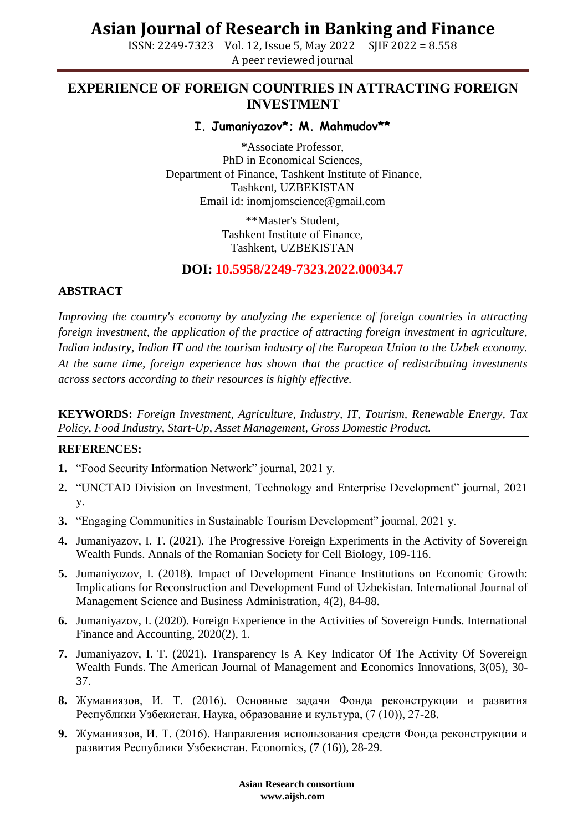## **Asian Journal of Research in Banking and Finance**

ISSN: 2249-7323 Vol. 12, Issue 5, May 2022 SJIF 2022 = 8.558 A peer reviewed journal

### **EXPERIENCE OF FOREIGN COUNTRIES IN ATTRACTING FOREIGN INVESTMENT**

**I. Jumaniyazov\*; M. Mahmudov\*\***

**\***Associate Professor, PhD in Economical Sciences, Department of Finance, Tashkent Institute of Finance, Tashkent, UZBEKISTAN Email id: [inomjomscience@gmail.com](mailto:inomjomscience@gmail.com)

> \*\*Master's Student, Tashkent Institute of Finance, Tashkent, UZBEKISTAN

**DOI: 10.5958/2249-7323.2022.00034.7**

#### **ABSTRACT**

*Improving the country's economy by analyzing the experience of foreign countries in attracting foreign investment, the application of the practice of attracting foreign investment in agriculture, Indian industry, Indian IT and the tourism industry of the European Union to the Uzbek economy. At the same time, foreign experience has shown that the practice of redistributing investments across sectors according to their resources is highly effective.*

**KEYWORDS:** *Foreign Investment, Agriculture, Industry, IT, Tourism, Renewable Energy, Tax Policy, Food Industry, Start-Up, Asset Management, Gross Domestic Product.*

#### **REFERENCES:**

- **1.** "Food Security Information Network" journal, 2021 y.
- **2.** "UNCTAD Division on Investment, Technology and Enterprise Development" journal, 2021 y.
- **3.** "Engaging Communities in Sustainable Tourism Development" journal, 2021 y.
- **4.** Jumaniyazov, I. T. (2021). The Progressive Foreign Experiments in the Activity of Sovereign Wealth Funds. Annals of the Romanian Society for Cell Biology, 109-116.
- **5.** Jumaniyozov, I. (2018). Impact of Development Finance Institutions on Economic Growth: Implications for Reconstruction and Development Fund of Uzbekistan. International Journal of Management Science and Business Administration, 4(2), 84-88.
- **6.** Jumaniyazov, I. (2020). Foreign Experience in the Activities of Sovereign Funds. International Finance and Accounting, 2020(2), 1.
- **7.** Jumaniyazov, I. T. (2021). Transparency Is A Key Indicator Of The Activity Of Sovereign Wealth Funds. The American Journal of Management and Economics Innovations, 3(05), 30- 37.
- **8.** Жуманиязов, И. Т. (2016). Основные задачи Фонда реконструкции и развития Республики Узбекистан. Наука, образование и культура, (7 (10)), 27-28.
- **9.** Жуманиязов, И. Т. (2016). Направления использования средств Фонда реконструкции и развития Республики Узбекистан. Economics, (7 (16)), 28-29.

 **Asian Research consortium www.aijsh.com**